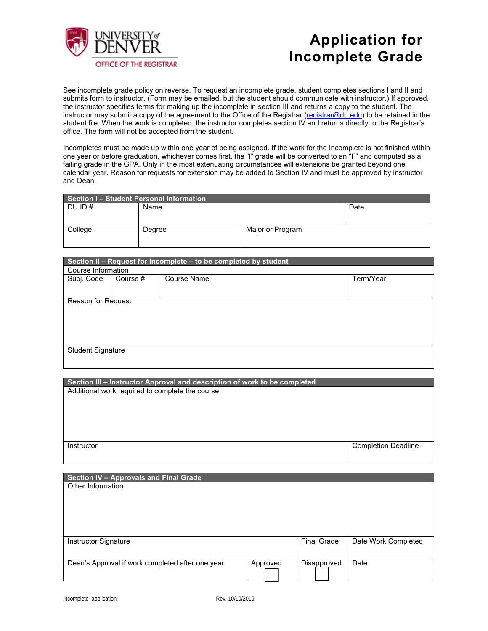

## **Application for Incomplete Grade**

See incomplete grade policy on reverse. To request an incomplete grade, student completes sections I and II and submits form to instructor. (Form may be emailed, but the student should communicate with instructor.) If approved, the instructor specifies terms for making up the incomplete in section III and returns a copy to the student. The instructor may submit a copy of the agreement to the Office of the Registrar (registrar@du.edu) to be retained in the student file. When the work is completed, the instructor completes section IV and returns directly to the Registrar's office. The form will not be accepted from the student.

Incompletes must be made up within one year of being assigned. If the work for the Incomplete is not finished within one year or before graduation, whichever comes first, the "I" grade will be converted to an "F" and computed as a failing grade in the GPA. Only in the most extenuating circumstances will extensions be granted beyond one calendar year. Reason for requests for extension may be added to Section IV and must be approved by instructor and Dean.

| <b>Section I- Student Personal Information</b> |        |                  |      |  |  |  |
|------------------------------------------------|--------|------------------|------|--|--|--|
| DU ID $#$                                      | Name   |                  | Date |  |  |  |
|                                                |        |                  |      |  |  |  |
| College                                        | Degree | Major or Program |      |  |  |  |

| Section II - Request for Incomplete - to be completed by student |          |                    |           |  |  |  |
|------------------------------------------------------------------|----------|--------------------|-----------|--|--|--|
| Course Information                                               |          |                    |           |  |  |  |
| Subj. Code                                                       | Course # | <b>Course Name</b> | Term/Year |  |  |  |
|                                                                  |          |                    |           |  |  |  |
| Reason for Request                                               |          |                    |           |  |  |  |
|                                                                  |          |                    |           |  |  |  |
|                                                                  |          |                    |           |  |  |  |
|                                                                  |          |                    |           |  |  |  |
| <b>Student Signature</b>                                         |          |                    |           |  |  |  |
|                                                                  |          |                    |           |  |  |  |
|                                                                  |          |                    |           |  |  |  |

**Section III – Instructor Approval and description of work to be completed** Additional work required to complete the course **Instructor** Completion Deadline **Completion Deadline** 

| <b>Section IV - Approvals and Final Grade</b><br>Other Information |          |                    |                     |
|--------------------------------------------------------------------|----------|--------------------|---------------------|
| Instructor Signature                                               |          | <b>Final Grade</b> | Date Work Completed |
| Dean's Approval if work completed after one year                   | Approved | Disapproved        | Date                |